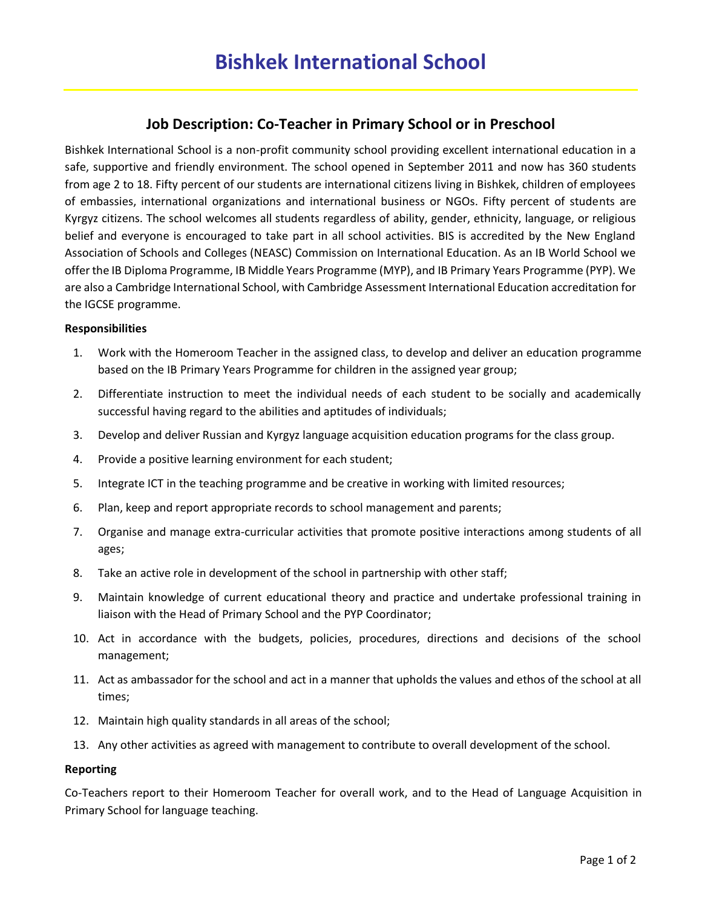# **Job Description: Co-Teacher in Primary School or in Preschool**

Bishkek International School is a non-profit community school providing excellent international education in a safe, supportive and friendly environment. The school opened in September 2011 and now has 360 students from age 2 to 18. Fifty percent of our students are international citizens living in Bishkek, children of employees of embassies, international organizations and international business or NGOs. Fifty percent of students are Kyrgyz citizens. The school welcomes all students regardless of ability, gender, ethnicity, language, or religious belief and everyone is encouraged to take part in all school activities. BIS is accredited by the New England Association of Schools and Colleges (NEASC) Commission on International Education. As an IB World School we offer the IB Diploma Programme, IB Middle Years Programme (MYP), and IB Primary Years Programme (PYP). We are also a Cambridge International School, with Cambridge Assessment International Education accreditation for the IGCSE programme.

### **Responsibilities**

- 1. Work with the Homeroom Teacher in the assigned class, to develop and deliver an education programme based on the IB Primary Years Programme for children in the assigned year group;
- 2. Differentiate instruction to meet the individual needs of each student to be socially and academically successful having regard to the abilities and aptitudes of individuals;
- 3. Develop and deliver Russian and Kyrgyz language acquisition education programs for the class group.
- 4. Provide a positive learning environment for each student;
- 5. Integrate ICT in the teaching programme and be creative in working with limited resources;
- 6. Plan, keep and report appropriate records to school management and parents;
- 7. Organise and manage extra-curricular activities that promote positive interactions among students of all ages;
- 8. Take an active role in development of the school in partnership with other staff;
- 9. Maintain knowledge of current educational theory and practice and undertake professional training in liaison with the Head of Primary School and the PYP Coordinator;
- 10. Act in accordance with the budgets, policies, procedures, directions and decisions of the school management;
- 11. Act as ambassador for the school and act in a manner that upholds the values and ethos of the school at all times;
- 12. Maintain high quality standards in all areas of the school;
- 13. Any other activities as agreed with management to contribute to overall development of the school.

#### **Reporting**

Co-Teachers report to their Homeroom Teacher for overall work, and to the Head of Language Acquisition in Primary School for language teaching.